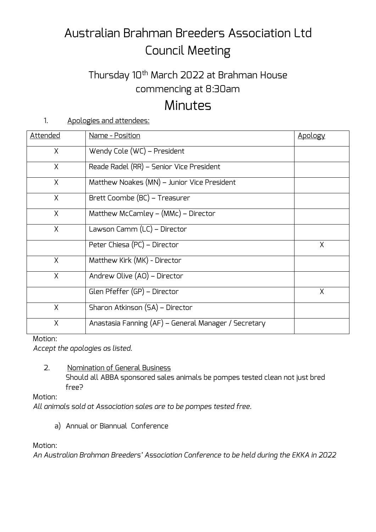# Australian Brahman Breeders Association Ltd Council Meeting

### Thursday 10th March 2022 at Brahman House commencing at 8:30am

## **Minutes**

1. Apologies and attendees:

| <u>Attended</u> | Name - Position                                      | Apology |
|-----------------|------------------------------------------------------|---------|
| $\times$        | Wendy Cole (WC) - President                          |         |
| X               | Reade Radel (RR) - Senior Vice President             |         |
| X               | Matthew Noakes (MN) - Junior Vice President          |         |
| X               | Brett Coombe (BC) – Treasurer                        |         |
| X               | Matthew McCamley – $(MMc)$ – Director                |         |
| X               | Lawson Camm (LC) - Director                          |         |
|                 | Peter Chiesa (PC) - Director                         | X       |
| $\chi$          | Matthew Kirk (MK) - Director                         |         |
| X               | Andrew Olive (AO) - Director                         |         |
|                 | Glen Pfeffer (GP) - Director                         | X       |
| X               | Sharon Atkinson (SA) - Director                      |         |
| X               | Anastasia Fanning (AF) – General Manager / Secretary |         |

Motion:

*Accept the apologies as listed.*

2. Nomination of General Business

Should all ABBA sponsored sales animals be pompes tested clean not just bred free?

Motion:

*All animals sold at Association sales are to be pompes tested free.*

a) Annual or Biannual Conference

Motion:

*An Australian Brahman Breeders' Association Conference to be held during the EKKA in 2022*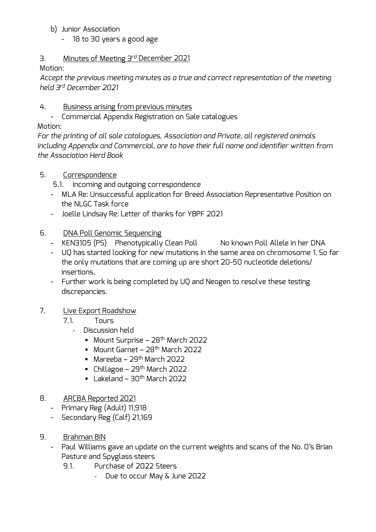- b) Junior Association
	- 18 to 30 years a good age

#### 3. Minutes of Meeting 3rd December 2021

Motion:

*Accept the previous meeting minutes as a true and correct representation of the meeting held 3rd December 2021*

- 4. Business arising from previous minutes
	- Commercial Appendix Registration on Sale catalogues

#### Motion:

*For the printing of all sale catalogues, Association and Private, all registered animals including Appendix and Commercial, are to have their full name and identifier written from the Association Herd Book*

- 5. Correspondence
	- 5.1. Incoming and outgoing correspondence
	- MLA Re: Unsuccessful application for Breed Association Representative Position on the NLGC Task force
	- Joelle Lindsay Re: Letter of thanks for YBPF 2021
- 6. DNA Poll Genomic Sequencing
	- KEN3105 (PS) Phenotypically Clean Poll No known Poll Allele in her DNA
	- UQ has started looking for new mutations in the same area on chromosome 1. So far the only mutations that are coming up are short 20-50 nucleotide deletions/ insertions.
	- Further work is being completed by UQ and Neogen to resolve these testing discrepancies.

#### 7. Live Export Roadshow

- 7.1. Tours
	- Discussion held
		- Mount Surprise 28<sup>th</sup> March 2022
		- $\blacksquare$  Mount Garnet 28<sup>th</sup> March 2022
		- $\blacksquare$  Mareeba 29<sup>th</sup> March 2022
		- $\blacksquare$  Chillagoe 29<sup>th</sup> March 2022
		- $\blacksquare$  Lakeland 30<sup>th</sup> March 2022
- 8. ARCBA Reported 2021
	- Primary Reg (Adult) 11,918
	- Secondary Reg (Calf) 21,169
- 9. Brahman BIN
	- Paul Williams gave an update on the current weights and scans of the No. 0's Brian Pasture and Spyglass steers
		- 9.1. Purchase of 2022 Steers
			- Due to occur May & June 2022